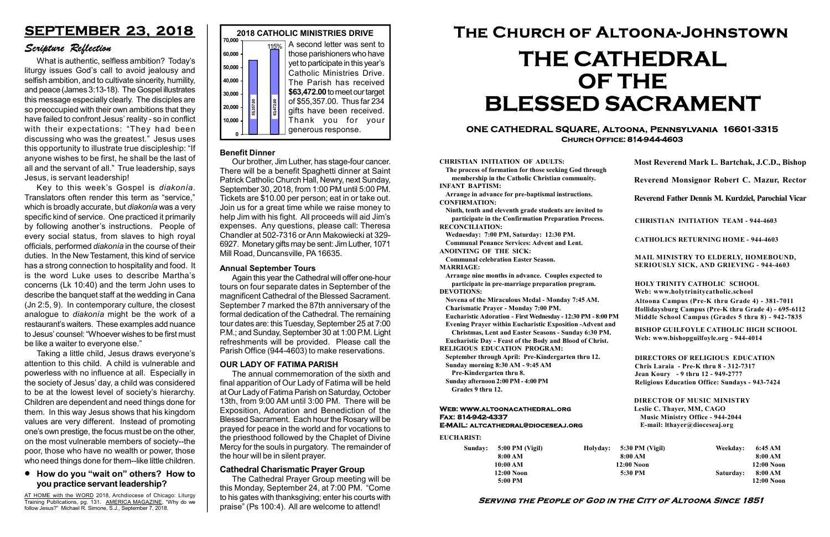#### Serving the People of God in the City of Altoona Since 1851

| Sunday: | 5:00 PM (Vigil) |  |
|---------|-----------------|--|
|         | 8:00 AM         |  |
|         | 10:00 AM        |  |
|         | 12:00 Noon      |  |
|         | $5:00$ PM       |  |

Holyday:

#### Web: www.altoonacathedral.org Fax: 814-942-4337 E-MAIL: altcathedral@dioceseaj.org

EUCHARIST:

#### CHRISTIAN INITIATION OF ADULTS:

The process of formation for those seeking God through membership in the Catholic Christian community. INFANT BAPTISM:

Arrange in advance for pre-baptismal instructions. CONFIRMATION:

Ninth, tenth and eleventh grade students are invited to participate in the Confirmation Preparation Process. RECONCILIATION:

Wednesday: 7:00 PM, Saturday: 12:30 PM. Communal Penance Services: Advent and Lent.

ANOINTING OF THE SICK:

Communal celebration Easter Season. MARRIAGE:

Arrange nine months in advance. Couples expected to participate in pre-marriage preparation program. DEVOTIONS:

Novena of the Miraculous Medal - Monday 7:45 AM.

Charismatic Prayer - Monday 7:00 PM.

Eucharistic Adoration - First Wednesday - 12:30 PM - 8:00 PM Evening Prayer within Eucharistic Exposition -Advent and

Christmas, Lent and Easter Seasons - Sunday 6:30 PM.

|                         | Most Reverend Mark L. Bartchak, J.C.D., Bishop                                                                                                                                  |           |                         |  |  |
|-------------------------|---------------------------------------------------------------------------------------------------------------------------------------------------------------------------------|-----------|-------------------------|--|--|
|                         | Reverend Monsignor Robert C. Mazur, Rector                                                                                                                                      |           |                         |  |  |
|                         | Reverend Father Dennis M. Kurdziel, Parochial Vicar                                                                                                                             |           |                         |  |  |
|                         | <b>CHRISTIAN INITIATION TEAM - 944-4603</b>                                                                                                                                     |           |                         |  |  |
|                         | <b>CATHOLICS RETURNING HOME - 944-4603</b>                                                                                                                                      |           |                         |  |  |
|                         | MAIL MINISTRY TO ELDERLY, HOMEBOUND,<br><b>SERIOUSLY SICK, AND GRIEVING - 944-4603</b>                                                                                          |           |                         |  |  |
|                         | <b>HOLY TRINITY CATHOLIC SCHOOL</b><br>Web: www.holytrinitycatholic.school                                                                                                      |           |                         |  |  |
| М                       | Altoona Campus (Pre-K thru Grade 4) - 381-7011<br>Hollidaysburg Campus (Pre-K thru Grade 4) - 695-6112<br>Middle School Campus (Grades 5 thru 8) - 942-7835                     |           |                         |  |  |
| ł                       | <b>BISHOP GUILFOYLE CATHOLIC HIGH SCHOOL</b><br>Web: www.bishopguilfoyle.org - 944-4014                                                                                         |           |                         |  |  |
|                         | <b>DIRECTORS OF RELIGIOUS EDUCATION</b><br>Chris Laraia - Pre-K thru 8 - 312-7317<br>Jean Koury - 9 thru 12 - 949-2777<br><b>Religious Education Office: Sundays - 943-7424</b> |           |                         |  |  |
|                         | <b>DIRECTOR OF MUSIC MINISTRY</b><br>Leslie C. Thayer, MM, CAGO<br><b>Music Ministry Office - 944-2044</b><br>E-mail: lthayer@dioceseaj.org                                     |           |                         |  |  |
|                         | 5:30 PM (Vigil)                                                                                                                                                                 | Weekday:  | 6:45 AM                 |  |  |
| 8:00 AM<br>$12:00$ Noon |                                                                                                                                                                                 |           | 8:00 AM<br>12:00 Noon   |  |  |
|                         | 5:30 PM                                                                                                                                                                         | Saturday: | 8:00 AM<br>$12:00$ Noon |  |  |
|                         |                                                                                                                                                                                 |           |                         |  |  |

Eucharistic Day - Feast of the Body and Blood of Christ.

RELIGIOUS EDUCATION PROGRAM:

September through April: Pre-Kindergarten thru 12. Sunday morning 8:30 AM - 9:45 AM



Pre-Kindergarten thru 8.

Sunday afternoon 2:00 PM - 4:00 PM Grades 9 thru 12.

#### ONE CATHEDRAL SQUARE, Altoona, Pennsylvania 16601-3315 Church Office: 814-944-4603

# The Church of Altoona-Johnstown THE CATHEDRAL OF THE BLESSED SACRAMENT

#### Cathedral Charismatic Prayer Group

AT HOME with the WORD 2018, Archdiocese of Chicago: Liturgy Training Publications, pg. 131. AMERICA MAGAZINE, "Why do we follow Jesus?" Michael R. Simone, S.J., September 7, 2018.

The Cathedral Prayer Group meeting will be this Monday, September 24, at 7:00 PM. "Come to his gates with thanksgiving; enter his courts with praise" (Ps 100:4). All are welcome to attend!

#### Benefit Dinner

Our brother, Jim Luther, has stage-four cancer. There will be a benefit Spaghetti dinner at Saint Patrick Catholic Church Hall, Newry, next Sunday, September 30, 2018, from 1:00 PM until 5:00 PM. Tickets are \$10.00 per person; eat in or take out. Join us for a great time while we raise money to help Jim with his fight. All proceeds will aid Jim's expenses. Any questions, please call: Theresa Chandler at 502-7316 or Ann Makowiecki at 329- 6927. Monetary gifts may be sent: Jim Luther, 1071 Mill Road, Duncansville, PA 16635.

#### How do you "wait on" others? How to you practice servant leadership?

## SEPTEMBER 23, 2018

#### Scripture Reflection

What is authentic, selfless ambition? Today's liturgy issues God's call to avoid jealousy and selfish ambition, and to cultivate sincerity, humility, and peace (James 3:13-18). The Gospel illustrates this message especially clearly. The disciples are so preoccupied with their own ambitions that they have failed to confront Jesus' reality - so in conflict with their expectations: "They had been discussing who was the greatest." Jesus uses this opportunity to illustrate true discipleship: "If anyone wishes to be first, he shall be the last of all and the servant of all." True leadership, says Jesus, is servant leadership!

Key to this week's Gospel is diakonía. Translators often render this term as "service," which is broadly accurate, but *diakonía* was a very specific kind of service. One practiced it primarily by following another's instructions. People of every social status, from slaves to high royal officials, performed diakonía in the course of their duties. In the New Testament, this kind of service has a strong connection to hospitality and food. It is the word Luke uses to describe Martha's concerns (Lk 10:40) and the term John uses to describe the banquet staff at the wedding in Cana (Jn 2:5, 9). In contemporary culture, the closest analogue to diakonía might be the work of a restaurant's waiters. These examples add nuance to Jesus' counsel: "Whoever wishes to be first must be like a waiter to everyone else."

Taking a little child, Jesus draws everyone's attention to this child. A child is vulnerable and powerless with no influence at all. Especially in the society of Jesus' day, a child was considered to be at the lowest level of society's hierarchy. Children are dependent and need things done for them. In this way Jesus shows that his kingdom values are very different. Instead of promoting one's own prestige, the focus must be on the other, on the most vulnerable members of society--the poor, those who have no wealth or power, those who need things done for them--like little children.

#### OUR LADY OF FATIMA PARISH

The annual commemoration of the sixth and final apparition of Our Lady of Fatima will be held at Our Lady of Fatima Parish on Saturday, October 13th, from 9:00 AM until 3:00 PM. There will be Exposition, Adoration and Benediction of the Blessed Sacrament. Each hour the Rosary will be prayed for peace in the world and for vocations to the priesthood followed by the Chaplet of Divine Mercy for the souls in purgatory. The remainder of the hour will be in silent prayer.

#### Annual September Tours

Again this year the Cathedral will offer one-hour tours on four separate dates in September of the magnificent Cathedral of the Blessed Sacrament. September 7 marked the 87th anniversary of the formal dedication of the Cathedral. The remaining tour dates are: this Tuesday, September 25 at 7:00 P.M.; and Sunday, September 30 at 1:00 P.M. Light refreshments will be provided. Please call the Parish Office (944-4603) to make reservations.